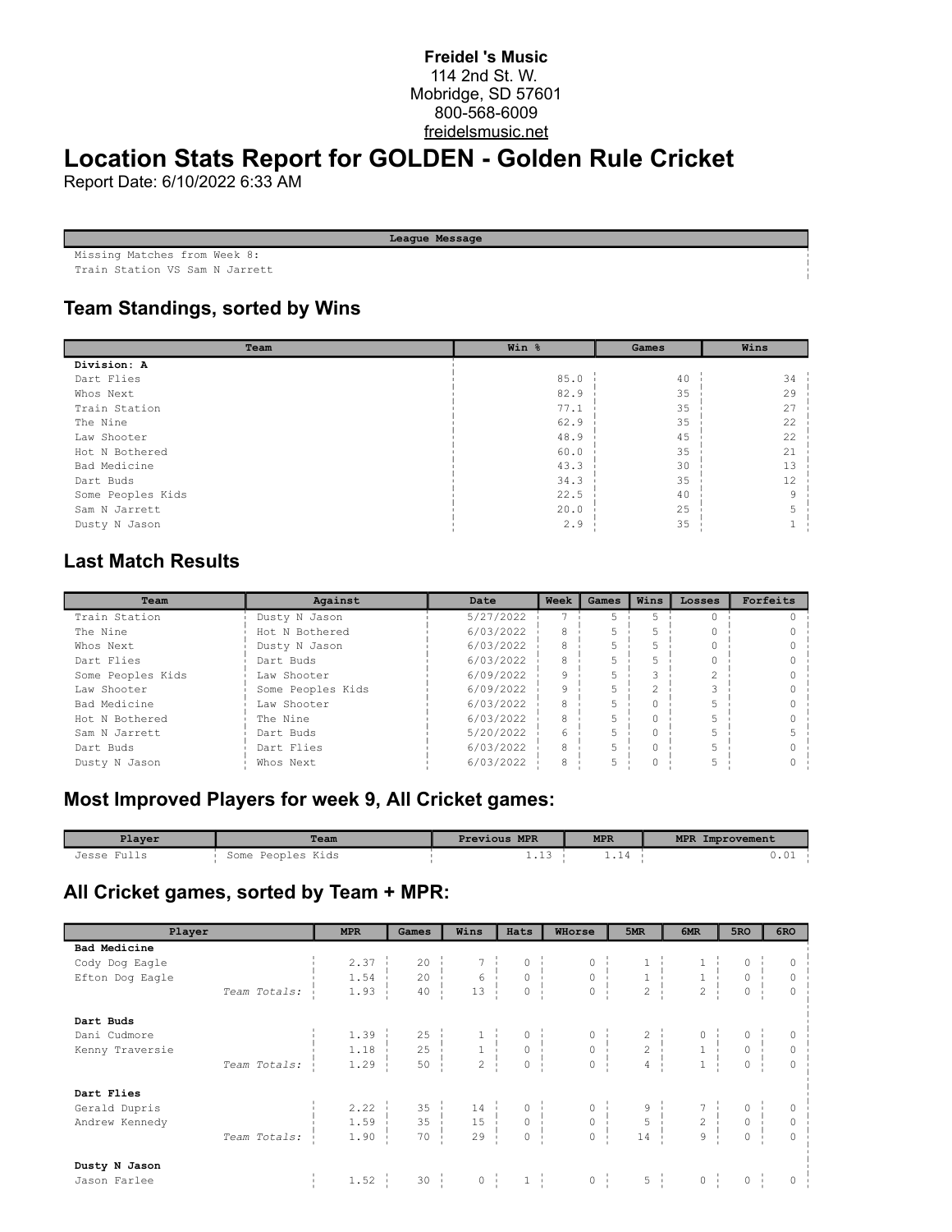#### **Freidel 's Music** 114 2nd St. W. Mobridge, SD 57601 800-568-6009 freidelsmusic.net

# **Location Stats Report for GOLDEN - Golden Rule Cricket**

Report Date: 6/10/2022 6:33 AM

| League Message                 |
|--------------------------------|
| Missing Matches from Week 8:   |
| Train Station VS Sam N Jarrett |

# **Team Standings, sorted by Wins**

| Team              | Win % | Games | Wins |  |
|-------------------|-------|-------|------|--|
| Division: A       |       |       |      |  |
| Dart Flies        | 85.0  | 40    | 34   |  |
| Whos Next         | 82.9  | 35    | 29   |  |
| Train Station     | 77.1  | 35    | 27   |  |
| The Nine          | 62.9  | 35    | 22   |  |
| Law Shooter       | 48.9  | 45    | 22   |  |
| Hot N Bothered    | 60.0  | 35    | 21   |  |
| Bad Medicine      | 43.3  | 30    | 13   |  |
| Dart Buds         | 34.3  | 35    | 12   |  |
| Some Peoples Kids | 22.5  | 40    | 9    |  |
| Sam N Jarrett     | 20.0  | 25    |      |  |
| Dusty N Jason     | 2.9   | 35    |      |  |

### **Last Match Results**

| Team              | Against           | Date      | Week | Games | Wins | Losses | Forfeits |
|-------------------|-------------------|-----------|------|-------|------|--------|----------|
| Train Station     | Dusty N Jason     | 5/27/2022 |      |       |      |        |          |
| The Nine          | Hot N Bothered    | 6/03/2022 | 8    |       |      |        |          |
| Whos Next         | Dusty N Jason     | 6/03/2022 | 8    |       |      |        |          |
| Dart Flies        | Dart Buds         | 6/03/2022 | 8    |       |      |        |          |
| Some Peoples Kids | Law Shooter       | 6/09/2022 | 9    |       |      |        |          |
| Law Shooter       | Some Peoples Kids | 6/09/2022 | 9    |       | C.   |        |          |
| Bad Medicine      | Law Shooter       | 6/03/2022 | 8    |       |      |        |          |
| Hot N Bothered    | The Nine          | 6/03/2022 | 8    |       |      |        |          |
| Sam N Jarrett     | Dart Buds         | 5/20/2022 | 6    |       |      |        |          |
| Dart Buds         | Dart Flies        | 6/03/2022 | 8    |       |      |        |          |
| Dusty N Jason     | Whos Next         | 6/03/2022 | 8    |       |      |        |          |

# **Most Improved Players for week 9, All Cricket games:**

| Player         | <b>Team</b>          | <b>Previous MPR</b> | <b>MPR</b> | MPR Improvement |
|----------------|----------------------|---------------------|------------|-----------------|
| Fuli.<br>Jesse | Peoples Kids<br>Some | 2.LJ                |            | . v             |

# **All Cricket games, sorted by Team + MPR:**

| Player              | <b>MPR</b>   | Games            | Wins                  | Hats                | WHorse                                                                                                                                                                                                                                       | 5MR                                                                                                                                                                      | 6MR              | 5RO     | 6RO |
|---------------------|--------------|------------------|-----------------------|---------------------|----------------------------------------------------------------------------------------------------------------------------------------------------------------------------------------------------------------------------------------------|--------------------------------------------------------------------------------------------------------------------------------------------------------------------------|------------------|---------|-----|
| <b>Bad Medicine</b> |              |                  |                       |                     |                                                                                                                                                                                                                                              |                                                                                                                                                                          |                  |         |     |
| Cody Dog Eagle      | 2.37         |                  |                       |                     |                                                                                                                                                                                                                                              |                                                                                                                                                                          |                  |         |     |
| Efton Dog Eagle     | 1.54         |                  |                       |                     |                                                                                                                                                                                                                                              | $\begin{array}{ccccccccc} & 0 & & & & 1 & & & & 1 & & & 0 & \vdots \\ & 0 & & & & 1 & & & & 1 & & & 0 & \vdots \\ & 0 & & & & 2 & & & 2 & & & 0 & \vdots \\ \end{array}$ |                  |         |     |
| Team Totals:        | $1.93 \cdot$ |                  |                       |                     |                                                                                                                                                                                                                                              |                                                                                                                                                                          |                  |         |     |
| Dart Buds           |              |                  |                       |                     |                                                                                                                                                                                                                                              |                                                                                                                                                                          |                  |         |     |
| Dani Cudmore        |              |                  |                       |                     | $\begin{array}{cccccccccccc} 1.39 & & & 25 & & & 1 & & & 0 & & & 0 & & & 2 & & & 0 & & 0 & \\ 1.18 & & & 25 & & & 1 & & & 0 & & & 0 & & & 2 & & & 1 & & 0 & \\ 1.29 & & & 50 & & & 2 & & & 0 & & & 0 & & & 4 & & & 1 & & 0 & \\ \end{array}$ |                                                                                                                                                                          |                  |         |     |
| Kenny Traversie     |              |                  |                       |                     |                                                                                                                                                                                                                                              |                                                                                                                                                                          |                  |         |     |
| Team Totals:        |              |                  |                       |                     |                                                                                                                                                                                                                                              |                                                                                                                                                                          |                  |         |     |
| Dart Flies          |              |                  |                       |                     |                                                                                                                                                                                                                                              |                                                                                                                                                                          |                  |         |     |
| Gerald Dupris       | 2.22         |                  |                       |                     | $\begin{array}{cccccccc} 35 &   & & 14 &   & & 0 &   & & 0 &   & & 9 &   & & 7 &   & 0 \\ 35 &   & & 15 &   & & 0 &   & & 0 &   & & 5 &   & & 2 &   & 0 \\ 70 &   & & 29 &   & & 0 &   & & & 0 &   & & 14 &   & & 9 &   & 0 \end{array}$     |                                                                                                                                                                          |                  |         |     |
| Andrew Kennedy      | 1.59         |                  |                       |                     |                                                                                                                                                                                                                                              |                                                                                                                                                                          |                  |         |     |
| Team Totals:        | 1.90         |                  |                       |                     |                                                                                                                                                                                                                                              |                                                                                                                                                                          |                  |         |     |
| Dusty N Jason       |              |                  |                       |                     |                                                                                                                                                                                                                                              |                                                                                                                                                                          |                  |         |     |
| Jason Farlee        | $1.52 \cdot$ | $30 \frac{1}{2}$ | $0 \quad \frac{1}{2}$ | $1 \nightharpoonup$ | $\begin{bmatrix} 0 & 1 \\ 1 & 1 \end{bmatrix}$                                                                                                                                                                                               | $5 \frac{1}{2}$                                                                                                                                                          | $0 \quad \vdots$ | $\circ$ |     |